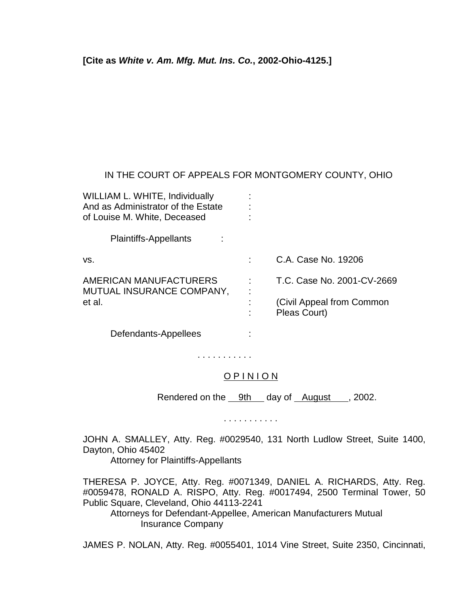**[Cite as** *White v. Am. Mfg. Mut. Ins. Co.***, 2002-Ohio-4125.]**

## IN THE COURT OF APPEALS FOR MONTGOMERY COUNTY, OHIO

| WILLIAM L. WHITE, Individually<br>And as Administrator of the Estate<br>of Louise M. White, Deceased |                                           |
|------------------------------------------------------------------------------------------------------|-------------------------------------------|
| Plaintiffs-Appellants                                                                                |                                           |
| VS.                                                                                                  | C.A. Case No. 19206                       |
| AMERICAN MANUFACTURERS<br>MUTUAL INSURANCE COMPANY,                                                  | T.C. Case No. 2001-CV-2669                |
| et al.                                                                                               | (Civil Appeal from Common<br>Pleas Court) |
| Defendants-Appellees                                                                                 |                                           |

## O P I N I O N

. . . . . . . . . . .

Rendered on the 9th day of August , 2002.

. . . . . . . . . . .

JOHN A. SMALLEY, Atty. Reg. #0029540, 131 North Ludlow Street, Suite 1400, Dayton, Ohio 45402

Attorney for Plaintiffs-Appellants

THERESA P. JOYCE, Atty. Reg. #0071349, DANIEL A. RICHARDS, Atty. Reg. #0059478, RONALD A. RISPO, Atty. Reg. #0017494, 2500 Terminal Tower, 50 Public Square, Cleveland, Ohio 44113-2241

 Attorneys for Defendant-Appellee, American Manufacturers Mutual Insurance Company

JAMES P. NOLAN, Atty. Reg. #0055401, 1014 Vine Street, Suite 2350, Cincinnati,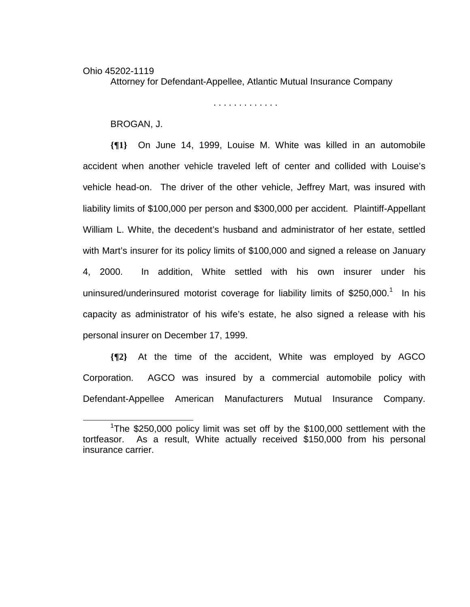## Ohio 45202-1119 Attorney for Defendant-Appellee, Atlantic Mutual Insurance Company

. . . . . . . . . . . . .

BROGAN, J.

**{¶1}** On June 14, 1999, Louise M. White was killed in an automobile accident when another vehicle traveled left of center and collided with Louise's vehicle head-on. The driver of the other vehicle, Jeffrey Mart, was insured with liability limits of \$100,000 per person and \$300,000 per accident. Plaintiff-Appellant William L. White, the decedent's husband and administrator of her estate, settled with Mart's insurer for its policy limits of \$100,000 and signed a release on January 4, 2000. In addition, White settled with his own insurer under his uninsured/underinsured motorist coverage for liability limits of \$250,000.<sup>1</sup> In his capacity as administrator of his wife's estate, he also signed a release with his personal insurer on December 17, 1999.

**{¶2}** At the time of the accident, White was employed by AGCO Corporation. AGCO was insured by a commercial automobile policy with Defendant-Appellee American Manufacturers Mutual Insurance Company.

 $\frac{1}{1}$ <sup>1</sup>The \$250,000 policy limit was set off by the \$100,000 settlement with the tortfeasor. As a result, White actually received \$150,000 from his personal insurance carrier.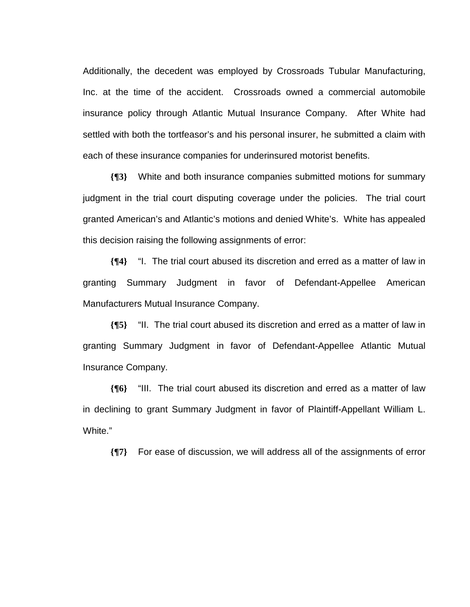Additionally, the decedent was employed by Crossroads Tubular Manufacturing, Inc. at the time of the accident. Crossroads owned a commercial automobile insurance policy through Atlantic Mutual Insurance Company. After White had settled with both the tortfeasor's and his personal insurer, he submitted a claim with each of these insurance companies for underinsured motorist benefits.

**{¶3}** White and both insurance companies submitted motions for summary judgment in the trial court disputing coverage under the policies. The trial court granted American's and Atlantic's motions and denied White's. White has appealed this decision raising the following assignments of error:

**{¶4}** "I. The trial court abused its discretion and erred as a matter of law in granting Summary Judgment in favor of Defendant-Appellee American Manufacturers Mutual Insurance Company.

**{¶5}** "II. The trial court abused its discretion and erred as a matter of law in granting Summary Judgment in favor of Defendant-Appellee Atlantic Mutual Insurance Company.

**{¶6}** "III. The trial court abused its discretion and erred as a matter of law in declining to grant Summary Judgment in favor of Plaintiff-Appellant William L. White."

**{¶7}** For ease of discussion, we will address all of the assignments of error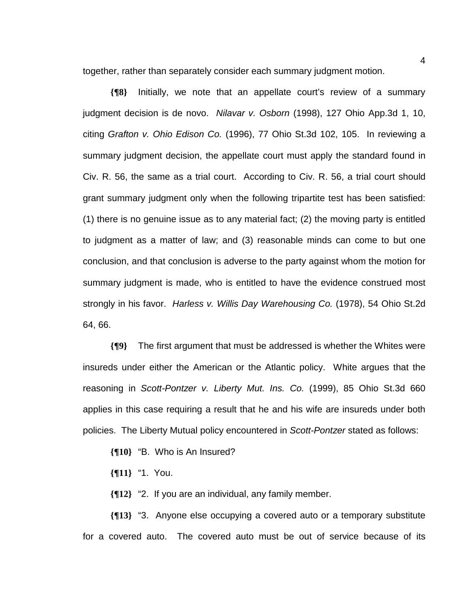together, rather than separately consider each summary judgment motion.

**{¶8}** Initially, we note that an appellate court's review of a summary judgment decision is de novo. *Nilavar v. Osborn* (1998), 127 Ohio App.3d 1, 10, citing *Grafton v. Ohio Edison Co.* (1996), 77 Ohio St.3d 102, 105. In reviewing a summary judgment decision, the appellate court must apply the standard found in Civ. R. 56, the same as a trial court. According to Civ. R. 56, a trial court should grant summary judgment only when the following tripartite test has been satisfied: (1) there is no genuine issue as to any material fact; (2) the moving party is entitled to judgment as a matter of law; and (3) reasonable minds can come to but one conclusion, and that conclusion is adverse to the party against whom the motion for summary judgment is made, who is entitled to have the evidence construed most strongly in his favor. *Harless v. Willis Day Warehousing Co.* (1978), 54 Ohio St.2d 64, 66.

**{¶9}** The first argument that must be addressed is whether the Whites were insureds under either the American or the Atlantic policy. White argues that the reasoning in *Scott-Pontzer v. Liberty Mut. Ins. Co.* (1999), 85 Ohio St.3d 660 applies in this case requiring a result that he and his wife are insureds under both policies. The Liberty Mutual policy encountered in *Scott-Pontzer* stated as follows:

- **{¶10}** "B. Who is An Insured?
- **{¶11}** "1. You.

**{¶12}** "2. If you are an individual, any family member.

**{¶13}** "3. Anyone else occupying a covered auto or a temporary substitute for a covered auto. The covered auto must be out of service because of its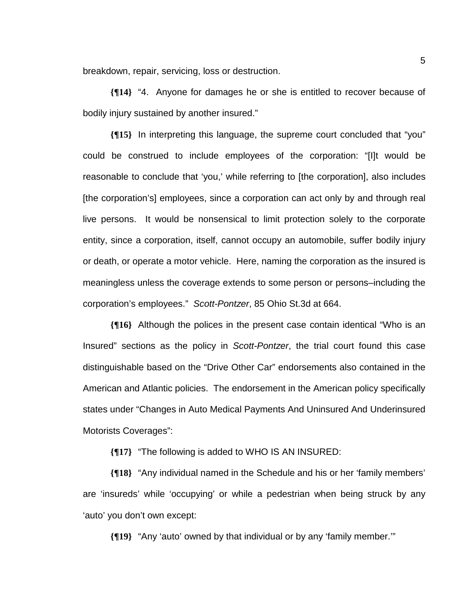breakdown, repair, servicing, loss or destruction.

**{¶14}** "4. Anyone for damages he or she is entitled to recover because of bodily injury sustained by another insured."

**{¶15}** In interpreting this language, the supreme court concluded that "you" could be construed to include employees of the corporation: "[I]t would be reasonable to conclude that 'you,' while referring to [the corporation], also includes [the corporation's] employees, since a corporation can act only by and through real live persons. It would be nonsensical to limit protection solely to the corporate entity, since a corporation, itself, cannot occupy an automobile, suffer bodily injury or death, or operate a motor vehicle. Here, naming the corporation as the insured is meaningless unless the coverage extends to some person or persons–including the corporation's employees." *Scott-Pontzer*, 85 Ohio St.3d at 664.

**{¶16}** Although the polices in the present case contain identical "Who is an Insured" sections as the policy in *Scott-Pontzer*, the trial court found this case distinguishable based on the "Drive Other Car" endorsements also contained in the American and Atlantic policies. The endorsement in the American policy specifically states under "Changes in Auto Medical Payments And Uninsured And Underinsured Motorists Coverages":

**{¶17}** "The following is added to WHO IS AN INSURED:

**{¶18}** "Any individual named in the Schedule and his or her 'family members' are 'insureds' while 'occupying' or while a pedestrian when being struck by any 'auto' you don't own except:

**{¶19}** "Any 'auto' owned by that individual or by any 'family member.'"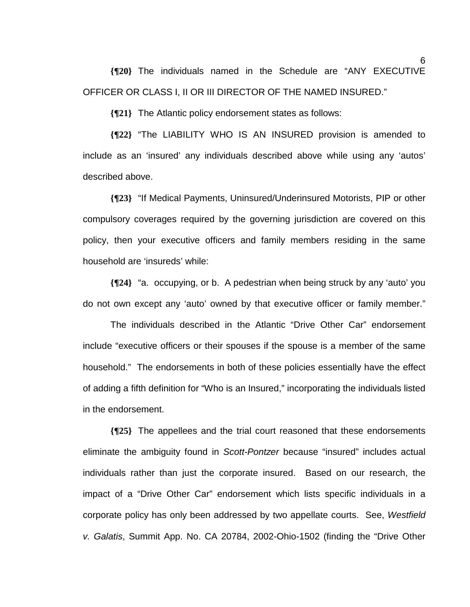**{¶20}** The individuals named in the Schedule are "ANY EXECUTIVE OFFICER OR CLASS I, II OR III DIRECTOR OF THE NAMED INSURED."

**{¶21}** The Atlantic policy endorsement states as follows:

**{¶22}** "The LIABILITY WHO IS AN INSURED provision is amended to include as an 'insured' any individuals described above while using any 'autos' described above.

**{¶23}** "If Medical Payments, Uninsured/Underinsured Motorists, PIP or other compulsory coverages required by the governing jurisdiction are covered on this policy, then your executive officers and family members residing in the same household are 'insureds' while:

**{¶24}** "a. occupying, or b. A pedestrian when being struck by any 'auto' you do not own except any 'auto' owned by that executive officer or family member."

 The individuals described in the Atlantic "Drive Other Car" endorsement include "executive officers or their spouses if the spouse is a member of the same household." The endorsements in both of these policies essentially have the effect of adding a fifth definition for "Who is an Insured," incorporating the individuals listed in the endorsement.

**{¶25}** The appellees and the trial court reasoned that these endorsements eliminate the ambiguity found in *Scott-Pontzer* because "insured" includes actual individuals rather than just the corporate insured. Based on our research, the impact of a "Drive Other Car" endorsement which lists specific individuals in a corporate policy has only been addressed by two appellate courts. See, *Westfield v. Galatis*, Summit App. No. CA 20784, 2002-Ohio-1502 (finding the "Drive Other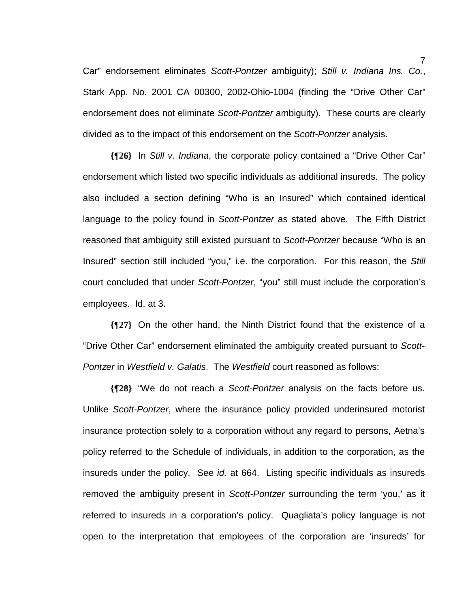Car" endorsement eliminates *Scott-Pontzer* ambiguity); *Still v. Indiana Ins. Co.*, Stark App. No. 2001 CA 00300, 2002-Ohio-1004 (finding the "Drive Other Car" endorsement does not eliminate *Scott-Pontzer* ambiguity). These courts are clearly divided as to the impact of this endorsement on the *Scott-Pontzer* analysis.

**{¶26}** In *Still v. Indiana*, the corporate policy contained a "Drive Other Car" endorsement which listed two specific individuals as additional insureds. The policy also included a section defining "Who is an Insured" which contained identical language to the policy found in *Scott-Pontzer* as stated above. The Fifth District reasoned that ambiguity still existed pursuant to *Scott-Pontzer* because "Who is an Insured" section still included "you," i.e. the corporation. For this reason, the *Still*  court concluded that under *Scott-Pontzer*, "you" still must include the corporation's employees. Id. at 3.

**{¶27}** On the other hand, the Ninth District found that the existence of a "Drive Other Car" endorsement eliminated the ambiguity created pursuant to *Scott-Pontzer* in *Westfield v. Galatis*. The *Westfield* court reasoned as follows:

**{¶28}** "We do not reach a *Scott-Pontzer* analysis on the facts before us. Unlike *Scott-Pontzer*, where the insurance policy provided underinsured motorist insurance protection solely to a corporation without any regard to persons, Aetna's policy referred to the Schedule of individuals, in addition to the corporation, as the insureds under the policy. See *id.* at 664. Listing specific individuals as insureds removed the ambiguity present in *Scott-Pontzer* surrounding the term 'you,' as it referred to insureds in a corporation's policy. Quagliata's policy language is not open to the interpretation that employees of the corporation are 'insureds' for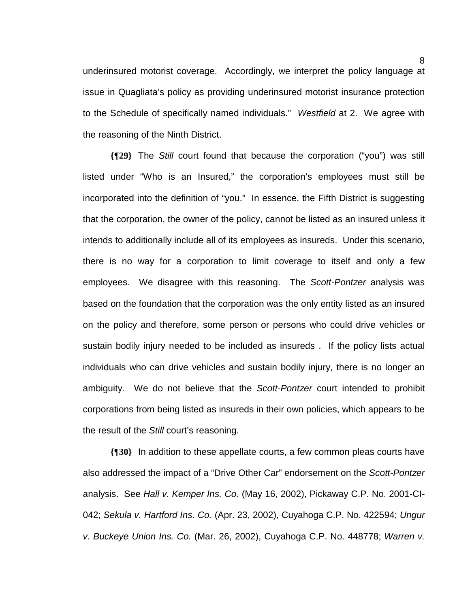underinsured motorist coverage. Accordingly, we interpret the policy language at issue in Quagliata's policy as providing underinsured motorist insurance protection to the Schedule of specifically named individuals." *Westfield* at 2. We agree with the reasoning of the Ninth District.

**{¶29}** The *Still* court found that because the corporation ("you") was still listed under "Who is an Insured," the corporation's employees must still be incorporated into the definition of "you." In essence, the Fifth District is suggesting that the corporation, the owner of the policy, cannot be listed as an insured unless it intends to additionally include all of its employees as insureds. Under this scenario, there is no way for a corporation to limit coverage to itself and only a few employees. We disagree with this reasoning. The *Scott-Pontzer* analysis was based on the foundation that the corporation was the only entity listed as an insured on the policy and therefore, some person or persons who could drive vehicles or sustain bodily injury needed to be included as insureds . If the policy lists actual individuals who can drive vehicles and sustain bodily injury, there is no longer an ambiguity. We do not believe that the *Scott-Pontzer* court intended to prohibit corporations from being listed as insureds in their own policies, which appears to be the result of the *Still* court's reasoning.

**{¶30}** In addition to these appellate courts, a few common pleas courts have also addressed the impact of a "Drive Other Car" endorsement on the *Scott-Pontzer* analysis. See *Hall v. Kemper Ins. Co.* (May 16, 2002), Pickaway C.P. No. 2001-CI-042; *Sekula v. Hartford Ins. Co.* (Apr. 23, 2002), Cuyahoga C.P. No. 422594; *Ungur v. Buckeye Union Ins. Co.* (Mar. 26, 2002), Cuyahoga C.P. No. 448778; *Warren v.*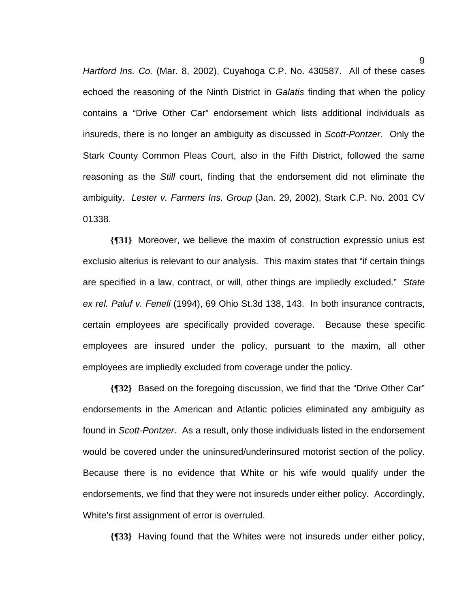*Hartford Ins. Co.* (Mar. 8, 2002), Cuyahoga C.P. No. 430587. All of these cases echoed the reasoning of the Ninth District in *Galatis* finding that when the policy contains a "Drive Other Car" endorsement which lists additional individuals as insureds, there is no longer an ambiguity as discussed in *Scott-Pontzer.* Only the Stark County Common Pleas Court, also in the Fifth District, followed the same reasoning as the *Still* court, finding that the endorsement did not eliminate the ambiguity. *Lester v. Farmers Ins. Group* (Jan. 29, 2002), Stark C.P. No. 2001 CV 01338.

**{¶31}** Moreover, we believe the maxim of construction expressio unius est exclusio alterius is relevant to our analysis. This maxim states that "if certain things are specified in a law, contract, or will, other things are impliedly excluded." *State ex rel. Paluf v. Feneli* (1994), 69 Ohio St.3d 138, 143. In both insurance contracts, certain employees are specifically provided coverage. Because these specific employees are insured under the policy, pursuant to the maxim, all other employees are impliedly excluded from coverage under the policy.

**{¶32}** Based on the foregoing discussion, we find that the "Drive Other Car" endorsements in the American and Atlantic policies eliminated any ambiguity as found in *Scott-Pontzer*. As a result, only those individuals listed in the endorsement would be covered under the uninsured/underinsured motorist section of the policy. Because there is no evidence that White or his wife would qualify under the endorsements, we find that they were not insureds under either policy. Accordingly, White's first assignment of error is overruled.

**{¶33}** Having found that the Whites were not insureds under either policy,